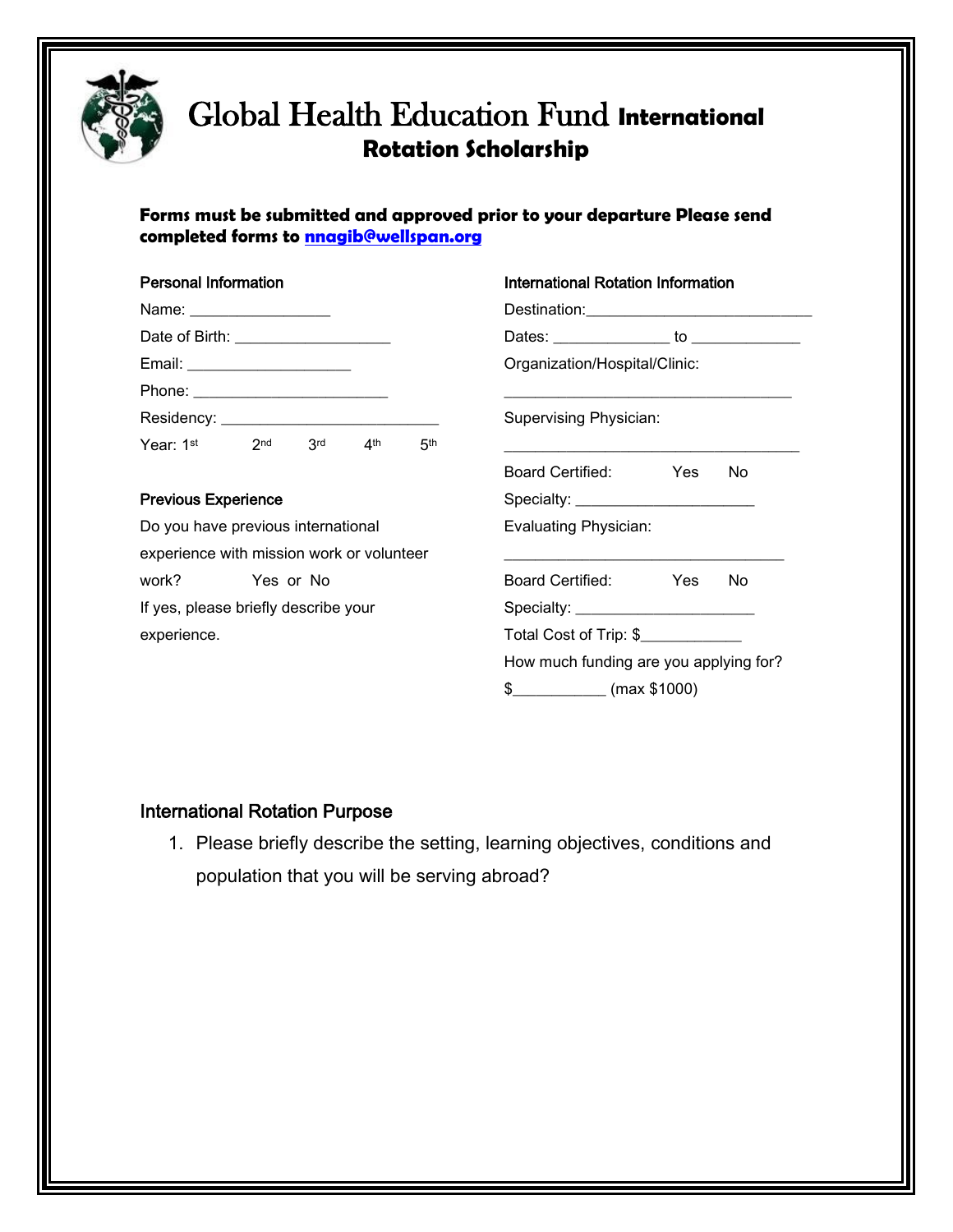

## Global Health Education Fund **International Rotation Scholarship**

#### **Forms must be submitted and approved prior to your departure Please send completed forms to nnagib@wellspan.org**

#### Personal Information

| Email: ________________________ |                 |     |                       |     |
|---------------------------------|-----------------|-----|-----------------------|-----|
|                                 |                 |     |                       |     |
|                                 |                 |     |                       |     |
| Year: 1st                       | 2 <sub>nd</sub> | 3rd | $\mathbf{\Lambda}$ th | 5th |

#### Previous Experience

Do you have previous international experience with mission work or volunteer work? Yes or No If yes, please briefly describe your experience.

| International Rotation Information        |        |  |  |  |  |
|-------------------------------------------|--------|--|--|--|--|
| Destination: Destination:                 |        |  |  |  |  |
| Dates: _______________ to ____________    |        |  |  |  |  |
| Organization/Hospital/Clinic:             |        |  |  |  |  |
| Supervising Physician:                    |        |  |  |  |  |
| Board Certified:                          | Yes No |  |  |  |  |
| Specialty: <u>_______________________</u> |        |  |  |  |  |
| Evaluating Physician:                     |        |  |  |  |  |
| Board Certified:                          | Yes No |  |  |  |  |
|                                           |        |  |  |  |  |
| Total Cost of Trip: \$                    |        |  |  |  |  |
| How much funding are you applying for?    |        |  |  |  |  |
| $$$ (max \$1000)                          |        |  |  |  |  |

#### International Rotation Purpose

1. Please briefly describe the setting, learning objectives, conditions and population that you will be serving abroad?